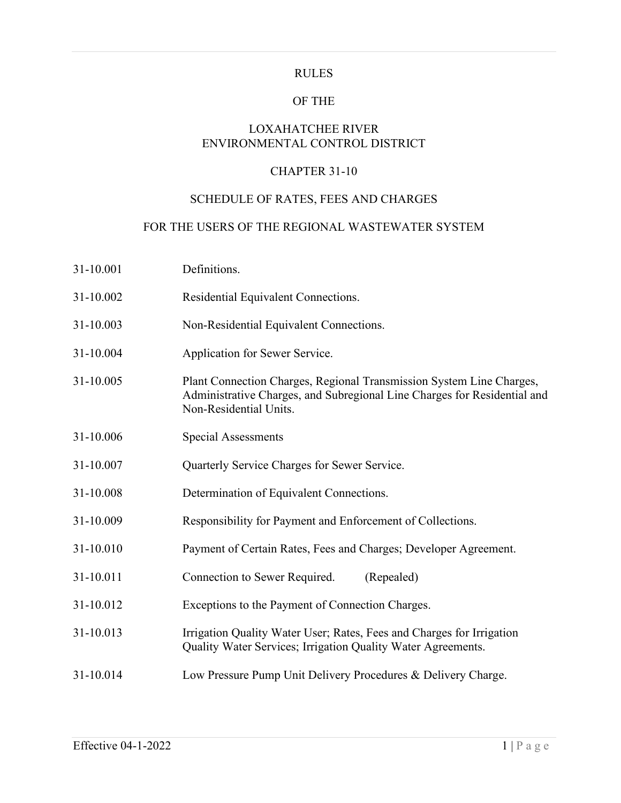### RULES

### OF THE

# LOXAHATCHEE RIVER ENVIRONMENTAL CONTROL DISTRICT

## CHAPTER 31-10

# SCHEDULE OF RATES, FEES AND CHARGES

### FOR THE USERS OF THE REGIONAL WASTEWATER SYSTEM

| 31-10.001 | Definitions.                                                                                                                                                               |  |
|-----------|----------------------------------------------------------------------------------------------------------------------------------------------------------------------------|--|
| 31-10.002 | Residential Equivalent Connections.                                                                                                                                        |  |
| 31-10.003 | Non-Residential Equivalent Connections.                                                                                                                                    |  |
| 31-10.004 | Application for Sewer Service.                                                                                                                                             |  |
| 31-10.005 | Plant Connection Charges, Regional Transmission System Line Charges,<br>Administrative Charges, and Subregional Line Charges for Residential and<br>Non-Residential Units. |  |
| 31-10.006 | <b>Special Assessments</b>                                                                                                                                                 |  |
| 31-10.007 | Quarterly Service Charges for Sewer Service.                                                                                                                               |  |
| 31-10.008 | Determination of Equivalent Connections.                                                                                                                                   |  |
| 31-10.009 | Responsibility for Payment and Enforcement of Collections.                                                                                                                 |  |
| 31-10.010 | Payment of Certain Rates, Fees and Charges; Developer Agreement.                                                                                                           |  |
| 31-10.011 | Connection to Sewer Required.<br>(Repealed)                                                                                                                                |  |
| 31-10.012 | Exceptions to the Payment of Connection Charges.                                                                                                                           |  |
| 31-10.013 | Irrigation Quality Water User; Rates, Fees and Charges for Irrigation<br>Quality Water Services; Irrigation Quality Water Agreements.                                      |  |
| 31-10.014 | Low Pressure Pump Unit Delivery Procedures & Delivery Charge.                                                                                                              |  |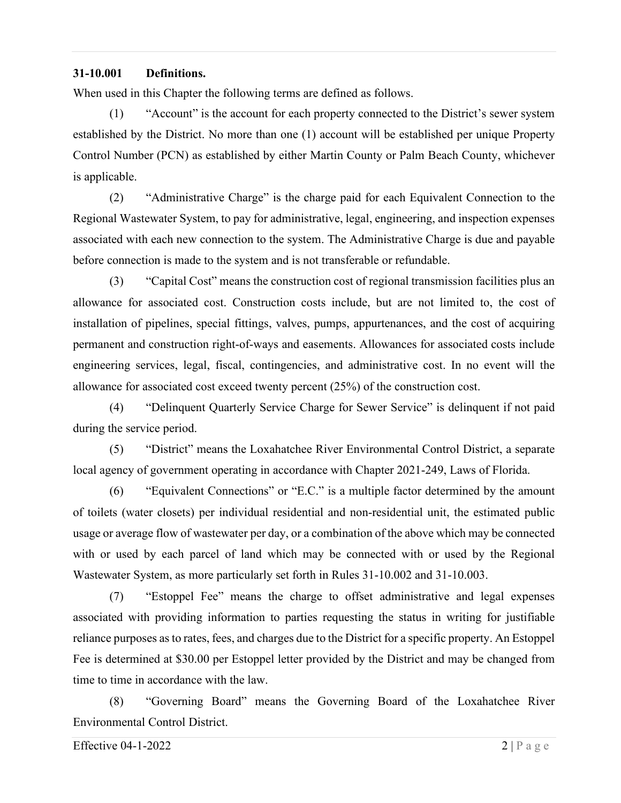#### **31-10.001 Definitions.**

When used in this Chapter the following terms are defined as follows.

(1) "Account" is the account for each property connected to the District's sewer system established by the District. No more than one (1) account will be established per unique Property Control Number (PCN) as established by either Martin County or Palm Beach County, whichever is applicable.

(2) "Administrative Charge" is the charge paid for each Equivalent Connection to the Regional Wastewater System, to pay for administrative, legal, engineering, and inspection expenses associated with each new connection to the system. The Administrative Charge is due and payable before connection is made to the system and is not transferable or refundable.

(3) "Capital Cost" means the construction cost of regional transmission facilities plus an allowance for associated cost. Construction costs include, but are not limited to, the cost of installation of pipelines, special fittings, valves, pumps, appurtenances, and the cost of acquiring permanent and construction right-of-ways and easements. Allowances for associated costs include engineering services, legal, fiscal, contingencies, and administrative cost. In no event will the allowance for associated cost exceed twenty percent (25%) of the construction cost.

(4) "Delinquent Quarterly Service Charge for Sewer Service" is delinquent if not paid during the service period.

(5) "District" means the Loxahatchee River Environmental Control District, a separate local agency of government operating in accordance with Chapter 2021-249, Laws of Florida.

(6) "Equivalent Connections" or "E.C." is a multiple factor determined by the amount of toilets (water closets) per individual residential and non-residential unit, the estimated public usage or average flow of wastewater per day, or a combination of the above which may be connected with or used by each parcel of land which may be connected with or used by the Regional Wastewater System, as more particularly set forth in Rules 31-10.002 and 31-10.003.

(7) "Estoppel Fee" means the charge to offset administrative and legal expenses associated with providing information to parties requesting the status in writing for justifiable reliance purposes as to rates, fees, and charges due to the District for a specific property. An Estoppel Fee is determined at \$30.00 per Estoppel letter provided by the District and may be changed from time to time in accordance with the law.

(8) "Governing Board" means the Governing Board of the Loxahatchee River Environmental Control District.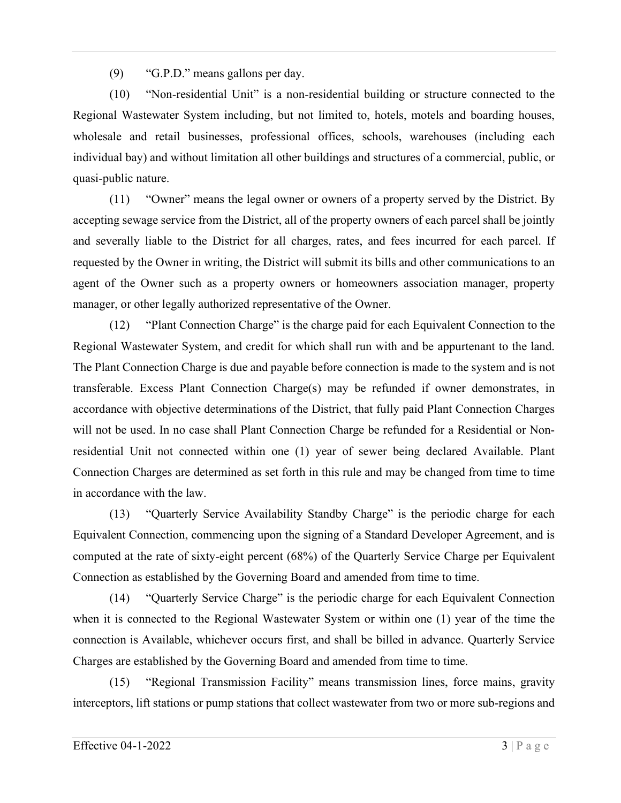(9) "G.P.D." means gallons per day.

(10) "Non-residential Unit" is a non-residential building or structure connected to the Regional Wastewater System including, but not limited to, hotels, motels and boarding houses, wholesale and retail businesses, professional offices, schools, warehouses (including each individual bay) and without limitation all other buildings and structures of a commercial, public, or quasi-public nature.

(11) "Owner" means the legal owner or owners of a property served by the District. By accepting sewage service from the District, all of the property owners of each parcel shall be jointly and severally liable to the District for all charges, rates, and fees incurred for each parcel. If requested by the Owner in writing, the District will submit its bills and other communications to an agent of the Owner such as a property owners or homeowners association manager, property manager, or other legally authorized representative of the Owner.

(12) "Plant Connection Charge" is the charge paid for each Equivalent Connection to the Regional Wastewater System, and credit for which shall run with and be appurtenant to the land. The Plant Connection Charge is due and payable before connection is made to the system and is not transferable. Excess Plant Connection Charge(s) may be refunded if owner demonstrates, in accordance with objective determinations of the District, that fully paid Plant Connection Charges will not be used. In no case shall Plant Connection Charge be refunded for a Residential or Nonresidential Unit not connected within one (1) year of sewer being declared Available. Plant Connection Charges are determined as set forth in this rule and may be changed from time to time in accordance with the law.

(13) "Quarterly Service Availability Standby Charge" is the periodic charge for each Equivalent Connection, commencing upon the signing of a Standard Developer Agreement, and is computed at the rate of sixty-eight percent (68%) of the Quarterly Service Charge per Equivalent Connection as established by the Governing Board and amended from time to time.

(14) "Quarterly Service Charge" is the periodic charge for each Equivalent Connection when it is connected to the Regional Wastewater System or within one (1) year of the time the connection is Available, whichever occurs first, and shall be billed in advance. Quarterly Service Charges are established by the Governing Board and amended from time to time.

(15) "Regional Transmission Facility" means transmission lines, force mains, gravity interceptors, lift stations or pump stations that collect wastewater from two or more sub-regions and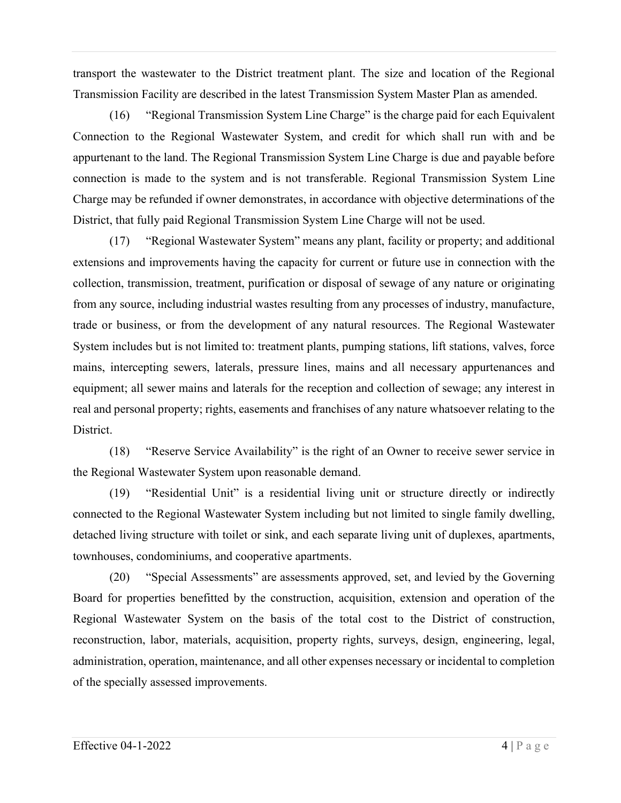transport the wastewater to the District treatment plant. The size and location of the Regional Transmission Facility are described in the latest Transmission System Master Plan as amended.

(16) "Regional Transmission System Line Charge" is the charge paid for each Equivalent Connection to the Regional Wastewater System, and credit for which shall run with and be appurtenant to the land. The Regional Transmission System Line Charge is due and payable before connection is made to the system and is not transferable. Regional Transmission System Line Charge may be refunded if owner demonstrates, in accordance with objective determinations of the District, that fully paid Regional Transmission System Line Charge will not be used.

(17) "Regional Wastewater System" means any plant, facility or property; and additional extensions and improvements having the capacity for current or future use in connection with the collection, transmission, treatment, purification or disposal of sewage of any nature or originating from any source, including industrial wastes resulting from any processes of industry, manufacture, trade or business, or from the development of any natural resources. The Regional Wastewater System includes but is not limited to: treatment plants, pumping stations, lift stations, valves, force mains, intercepting sewers, laterals, pressure lines, mains and all necessary appurtenances and equipment; all sewer mains and laterals for the reception and collection of sewage; any interest in real and personal property; rights, easements and franchises of any nature whatsoever relating to the District.

(18) "Reserve Service Availability" is the right of an Owner to receive sewer service in the Regional Wastewater System upon reasonable demand.

(19) "Residential Unit" is a residential living unit or structure directly or indirectly connected to the Regional Wastewater System including but not limited to single family dwelling, detached living structure with toilet or sink, and each separate living unit of duplexes, apartments, townhouses, condominiums, and cooperative apartments.

(20) "Special Assessments" are assessments approved, set, and levied by the Governing Board for properties benefitted by the construction, acquisition, extension and operation of the Regional Wastewater System on the basis of the total cost to the District of construction, reconstruction, labor, materials, acquisition, property rights, surveys, design, engineering, legal, administration, operation, maintenance, and all other expenses necessary or incidental to completion of the specially assessed improvements.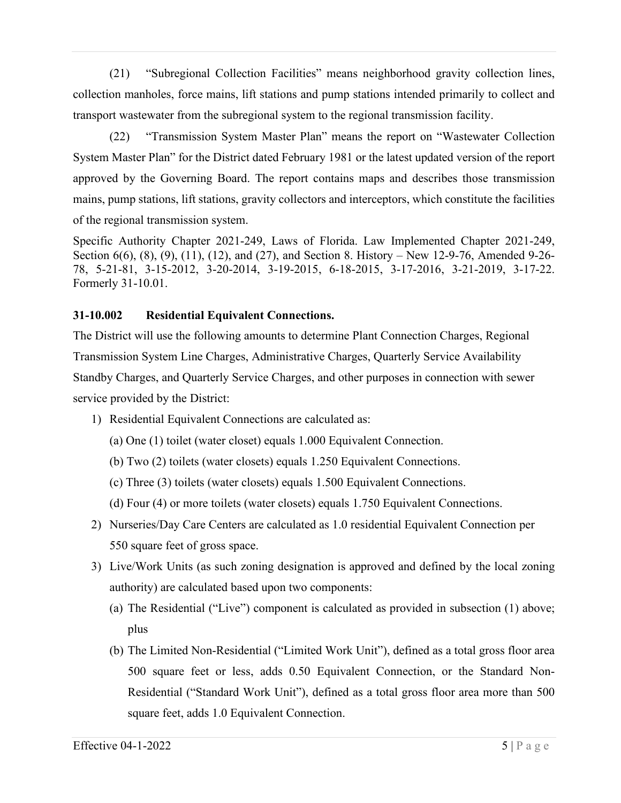(21) "Subregional Collection Facilities" means neighborhood gravity collection lines, collection manholes, force mains, lift stations and pump stations intended primarily to collect and transport wastewater from the subregional system to the regional transmission facility.

(22) "Transmission System Master Plan" means the report on "Wastewater Collection System Master Plan" for the District dated February 1981 or the latest updated version of the report approved by the Governing Board. The report contains maps and describes those transmission mains, pump stations, lift stations, gravity collectors and interceptors, which constitute the facilities of the regional transmission system.

Specific Authority Chapter 2021-249, Laws of Florida. Law Implemented Chapter 2021-249, Section 6(6), (8), (9), (11), (12), and (27), and Section 8. History – New 12-9-76, Amended 9-26-78, 5-21-81, 3-15-2012, 3-20-2014, 3-19-2015, 6-18-2015, 3-17-2016, 3-21-2019, 3-17-22. Formerly 31-10.01.

# **31-10.002 Residential Equivalent Connections.**

The District will use the following amounts to determine Plant Connection Charges, Regional Transmission System Line Charges, Administrative Charges, Quarterly Service Availability Standby Charges, and Quarterly Service Charges, and other purposes in connection with sewer service provided by the District:

- 1) Residential Equivalent Connections are calculated as:
	- (a) One (1) toilet (water closet) equals 1.000 Equivalent Connection.
	- (b) Two (2) toilets (water closets) equals 1.250 Equivalent Connections.
	- (c) Three (3) toilets (water closets) equals 1.500 Equivalent Connections.
	- (d) Four (4) or more toilets (water closets) equals 1.750 Equivalent Connections.
- 2) Nurseries/Day Care Centers are calculated as 1.0 residential Equivalent Connection per 550 square feet of gross space.
- 3) Live/Work Units (as such zoning designation is approved and defined by the local zoning authority) are calculated based upon two components:
	- (a) The Residential ("Live") component is calculated as provided in subsection (1) above; plus
	- (b) The Limited Non-Residential ("Limited Work Unit"), defined as a total gross floor area 500 square feet or less, adds 0.50 Equivalent Connection, or the Standard Non-Residential ("Standard Work Unit"), defined as a total gross floor area more than 500 square feet, adds 1.0 Equivalent Connection.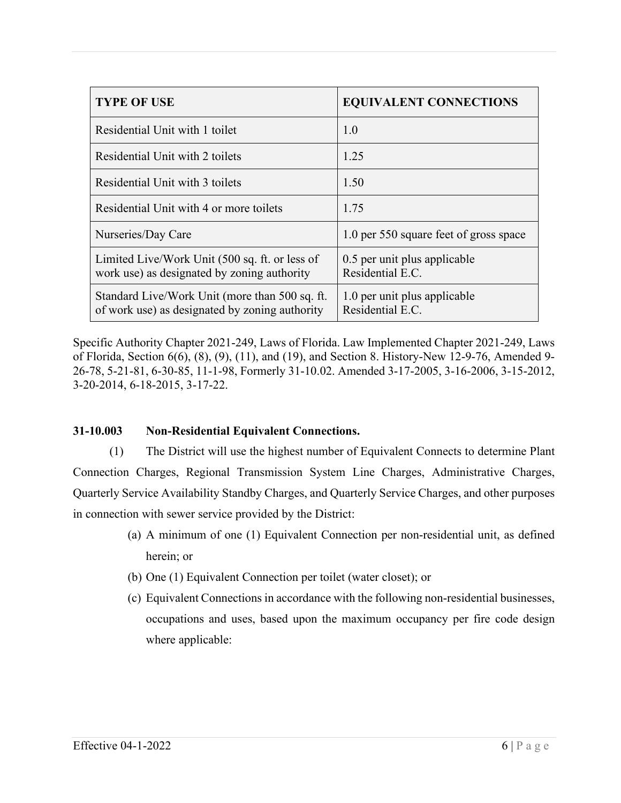| <b>TYPE OF USE</b>                                                                               | <b>EQUIVALENT CONNECTIONS</b>                    |
|--------------------------------------------------------------------------------------------------|--------------------------------------------------|
| Residential Unit with 1 toilet                                                                   | 1.0                                              |
| Residential Unit with 2 toilets                                                                  | 1.25                                             |
| Residential Unit with 3 toilets                                                                  | 1.50                                             |
| Residential Unit with 4 or more toilets                                                          | 1.75                                             |
| Nurseries/Day Care                                                                               | 1.0 per 550 square feet of gross space           |
| Limited Live/Work Unit (500 sq. ft. or less of<br>work use) as designated by zoning authority    | 0.5 per unit plus applicable<br>Residential E.C. |
| Standard Live/Work Unit (more than 500 sq. ft.<br>of work use) as designated by zoning authority | 1.0 per unit plus applicable<br>Residential E.C. |

Specific Authority Chapter 2021-249, Laws of Florida. Law Implemented Chapter 2021-249, Laws of Florida, Section 6(6), (8), (9), (11), and (19), and Section 8. History-New 12-9-76, Amended 9- 26-78, 5-21-81, 6-30-85, 11-1-98, Formerly 31-10.02. Amended 3-17-2005, 3-16-2006, 3-15-2012, 3-20-2014, 6-18-2015, 3-17-22.

## **31-10.003 Non-Residential Equivalent Connections.**

(1) The District will use the highest number of Equivalent Connects to determine Plant Connection Charges, Regional Transmission System Line Charges, Administrative Charges, Quarterly Service Availability Standby Charges, and Quarterly Service Charges, and other purposes in connection with sewer service provided by the District:

- (a) A minimum of one (1) Equivalent Connection per non-residential unit, as defined herein; or
- (b) One (1) Equivalent Connection per toilet (water closet); or
- (c) Equivalent Connections in accordance with the following non-residential businesses, occupations and uses, based upon the maximum occupancy per fire code design where applicable: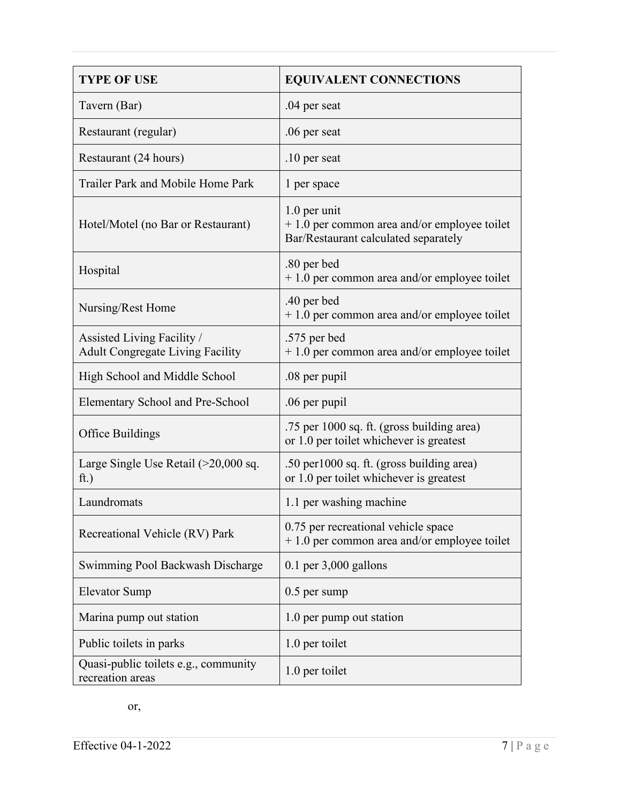| <b>TYPE OF USE</b>                                                    | <b>EQUIVALENT CONNECTIONS</b>                                                                         |
|-----------------------------------------------------------------------|-------------------------------------------------------------------------------------------------------|
| Tavern (Bar)                                                          | .04 per seat                                                                                          |
| Restaurant (regular)                                                  | .06 per seat                                                                                          |
| Restaurant (24 hours)                                                 | .10 per seat                                                                                          |
| Trailer Park and Mobile Home Park                                     | 1 per space                                                                                           |
| Hotel/Motel (no Bar or Restaurant)                                    | 1.0 per unit<br>$+1.0$ per common area and/or employee toilet<br>Bar/Restaurant calculated separately |
| Hospital                                                              | .80 per bed<br>$+1.0$ per common area and/or employee toilet                                          |
| Nursing/Rest Home                                                     | .40 per bed<br>$+1.0$ per common area and/or employee toilet                                          |
| Assisted Living Facility /<br><b>Adult Congregate Living Facility</b> | .575 per bed<br>$+1.0$ per common area and/or employee toilet                                         |
| High School and Middle School                                         | .08 per pupil                                                                                         |
| Elementary School and Pre-School                                      | .06 per pupil                                                                                         |
| Office Buildings                                                      | .75 per 1000 sq. ft. (gross building area)<br>or 1.0 per toilet whichever is greatest                 |
| Large Single Use Retail $(>20,000 \text{ sq.})$<br>ft.)               | .50 per 1000 sq. ft. (gross building area)<br>or 1.0 per toilet whichever is greatest                 |
| Laundromats                                                           | 1.1 per washing machine                                                                               |
| Recreational Vehicle (RV) Park                                        | 0.75 per recreational vehicle space<br>$+1.0$ per common area and/or employee toilet                  |
| Swimming Pool Backwash Discharge                                      | $0.1$ per $3,000$ gallons                                                                             |
| <b>Elevator Sump</b>                                                  | $0.5$ per sump                                                                                        |
| Marina pump out station                                               | 1.0 per pump out station                                                                              |
| Public toilets in parks                                               | 1.0 per toilet                                                                                        |
| Quasi-public toilets e.g., community<br>recreation areas              | 1.0 per toilet                                                                                        |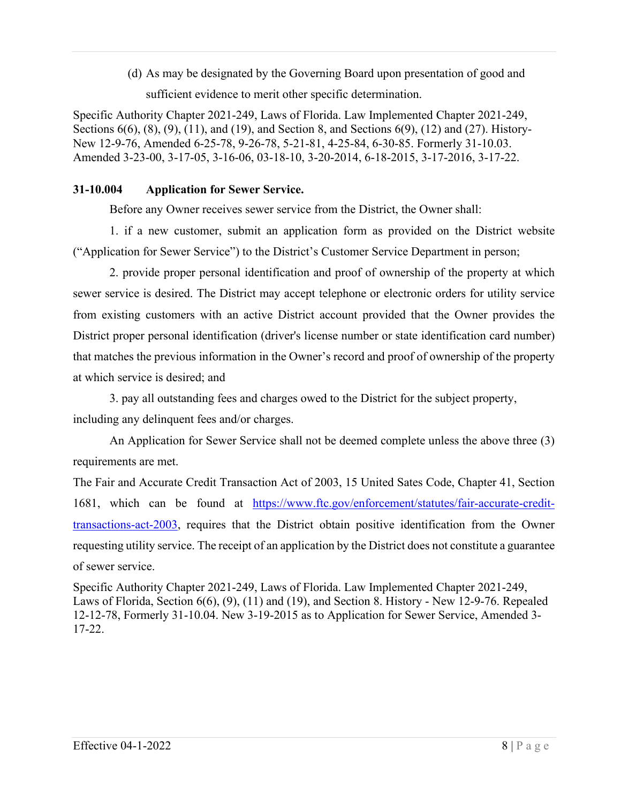(d) As may be designated by the Governing Board upon presentation of good and

sufficient evidence to merit other specific determination.

Specific Authority Chapter 2021-249, Laws of Florida. Law Implemented Chapter 2021-249, Sections 6(6), (8), (9), (11), and (19), and Section 8, and Sections 6(9), (12) and (27). History-New 12-9-76, Amended 6-25-78, 9-26-78, 5-21-81, 4-25-84, 6-30-85. Formerly 31-10.03. Amended 3-23-00, 3-17-05, 3-16-06, 03-18-10, 3-20-2014, 6-18-2015, 3-17-2016, 3-17-22.

## **31-10.004 Application for Sewer Service.**

Before any Owner receives sewer service from the District, the Owner shall:

1. if a new customer, submit an application form as provided on the District website ("Application for Sewer Service") to the District's Customer Service Department in person;

2. provide proper personal identification and proof of ownership of the property at which sewer service is desired. The District may accept telephone or electronic orders for utility service from existing customers with an active District account provided that the Owner provides the District proper personal identification (driver's license number or state identification card number) that matches the previous information in the Owner's record and proof of ownership of the property at which service is desired; and

3. pay all outstanding fees and charges owed to the District for the subject property,

including any delinquent fees and/or charges.

An Application for Sewer Service shall not be deemed complete unless the above three (3) requirements are met.

The Fair and Accurate Credit Transaction Act of 2003, 15 United Sates Code, Chapter 41, Section 1681, which can be found at [https://www.ftc.gov/enforcement/statutes/fair-accurate-credit](https://www.ftc.gov/enforcement/statutes/fair-accurate-credit-transactions-act-2003)[transactions-act-2003,](https://www.ftc.gov/enforcement/statutes/fair-accurate-credit-transactions-act-2003) requires that the District obtain positive identification from the Owner requesting utility service. The receipt of an application by the District does not constitute a guarantee of sewer service.

Specific Authority Chapter 2021-249, Laws of Florida. Law Implemented Chapter 2021-249, Laws of Florida, Section 6(6), (9), (11) and (19), and Section 8. History - New 12-9-76. Repealed 12-12-78, Formerly 31-10.04. New 3-19-2015 as to Application for Sewer Service, Amended 3- 17-22.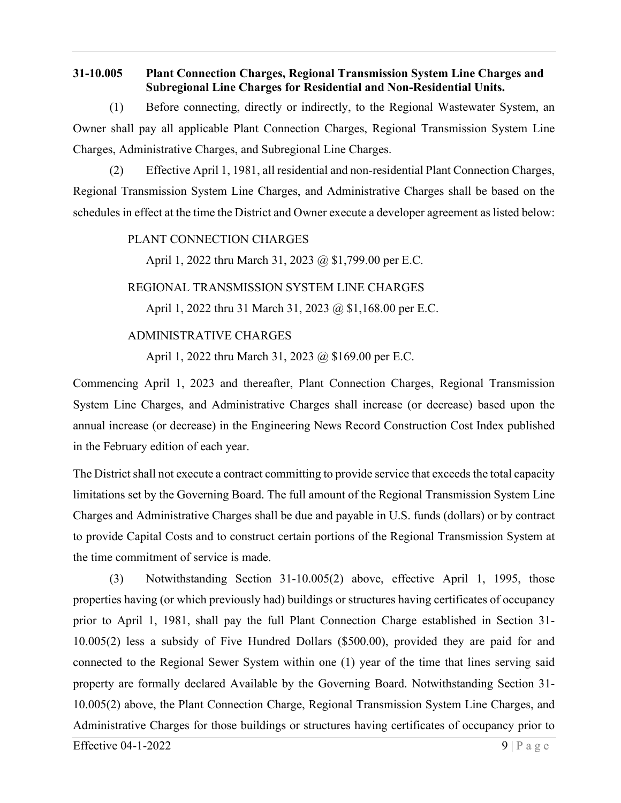#### **31-10.005 Plant Connection Charges, Regional Transmission System Line Charges and Subregional Line Charges for Residential and Non-Residential Units.**

(1) Before connecting, directly or indirectly, to the Regional Wastewater System, an Owner shall pay all applicable Plant Connection Charges, Regional Transmission System Line Charges, Administrative Charges, and Subregional Line Charges.

(2) Effective April 1, 1981, all residential and non-residential Plant Connection Charges, Regional Transmission System Line Charges, and Administrative Charges shall be based on the schedules in effect at the time the District and Owner execute a developer agreement as listed below:

#### PLANT CONNECTION CHARGES

April 1, 2022 thru March 31, 2023 @ \$1,799.00 per E.C.

#### REGIONAL TRANSMISSION SYSTEM LINE CHARGES

April 1, 2022 thru 31 March 31, 2023 @ \$1,168.00 per E.C.

## ADMINISTRATIVE CHARGES

April 1, 2022 thru March 31, 2023 @ \$169.00 per E.C.

Commencing April 1, 2023 and thereafter, Plant Connection Charges, Regional Transmission System Line Charges, and Administrative Charges shall increase (or decrease) based upon the annual increase (or decrease) in the Engineering News Record Construction Cost Index published in the February edition of each year.

The District shall not execute a contract committing to provide service that exceeds the total capacity limitations set by the Governing Board. The full amount of the Regional Transmission System Line Charges and Administrative Charges shall be due and payable in U.S. funds (dollars) or by contract to provide Capital Costs and to construct certain portions of the Regional Transmission System at the time commitment of service is made.

(3) Notwithstanding Section 31-10.005(2) above, effective April 1, 1995, those properties having (or which previously had) buildings or structures having certificates of occupancy prior to April 1, 1981, shall pay the full Plant Connection Charge established in Section 31- 10.005(2) less a subsidy of Five Hundred Dollars (\$500.00), provided they are paid for and connected to the Regional Sewer System within one (1) year of the time that lines serving said property are formally declared Available by the Governing Board. Notwithstanding Section 31- 10.005(2) above, the Plant Connection Charge, Regional Transmission System Line Charges, and Administrative Charges for those buildings or structures having certificates of occupancy prior to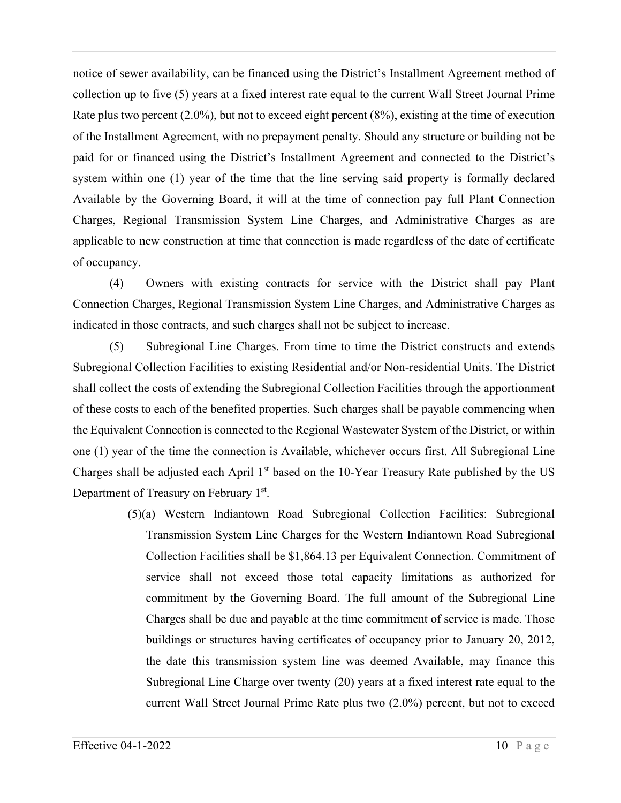notice of sewer availability, can be financed using the District's Installment Agreement method of collection up to five (5) years at a fixed interest rate equal to the current Wall Street Journal Prime Rate plus two percent (2.0%), but not to exceed eight percent (8%), existing at the time of execution of the Installment Agreement, with no prepayment penalty. Should any structure or building not be paid for or financed using the District's Installment Agreement and connected to the District's system within one (1) year of the time that the line serving said property is formally declared Available by the Governing Board, it will at the time of connection pay full Plant Connection Charges, Regional Transmission System Line Charges, and Administrative Charges as are applicable to new construction at time that connection is made regardless of the date of certificate of occupancy.

(4) Owners with existing contracts for service with the District shall pay Plant Connection Charges, Regional Transmission System Line Charges, and Administrative Charges as indicated in those contracts, and such charges shall not be subject to increase.

(5) Subregional Line Charges. From time to time the District constructs and extends Subregional Collection Facilities to existing Residential and/or Non-residential Units. The District shall collect the costs of extending the Subregional Collection Facilities through the apportionment of these costs to each of the benefited properties. Such charges shall be payable commencing when the Equivalent Connection is connected to the Regional Wastewater System of the District, or within one (1) year of the time the connection is Available, whichever occurs first. All Subregional Line Charges shall be adjusted each April  $1<sup>st</sup>$  based on the 10-Year Treasury Rate published by the US Department of Treasury on February 1st.

> (5)(a) Western Indiantown Road Subregional Collection Facilities: Subregional Transmission System Line Charges for the Western Indiantown Road Subregional Collection Facilities shall be \$1,864.13 per Equivalent Connection. Commitment of service shall not exceed those total capacity limitations as authorized for commitment by the Governing Board. The full amount of the Subregional Line Charges shall be due and payable at the time commitment of service is made. Those buildings or structures having certificates of occupancy prior to January 20, 2012, the date this transmission system line was deemed Available, may finance this Subregional Line Charge over twenty (20) years at a fixed interest rate equal to the current Wall Street Journal Prime Rate plus two (2.0%) percent, but not to exceed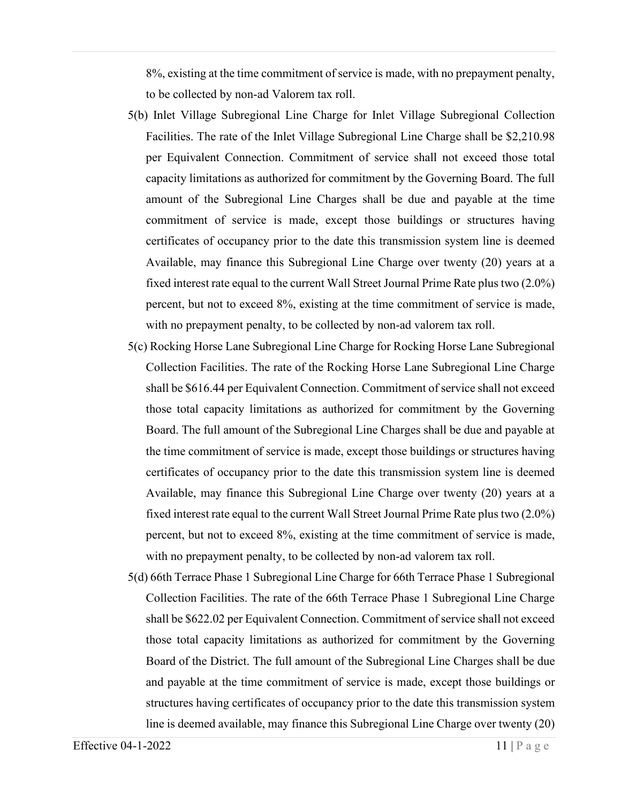8%, existing at the time commitment of service is made, with no prepayment penalty, to be collected by non-ad Valorem tax roll.

- 5(b) Inlet Village Subregional Line Charge for Inlet Village Subregional Collection Facilities. The rate of the Inlet Village Subregional Line Charge shall be \$2,210.98 per Equivalent Connection. Commitment of service shall not exceed those total capacity limitations as authorized for commitment by the Governing Board. The full amount of the Subregional Line Charges shall be due and payable at the time commitment of service is made, except those buildings or structures having certificates of occupancy prior to the date this transmission system line is deemed Available, may finance this Subregional Line Charge over twenty (20) years at a fixed interest rate equal to the current Wall Street Journal Prime Rate plus two (2.0%) percent, but not to exceed 8%, existing at the time commitment of service is made, with no prepayment penalty, to be collected by non-ad valorem tax roll.
- 5(c) Rocking Horse Lane Subregional Line Charge for Rocking Horse Lane Subregional Collection Facilities. The rate of the Rocking Horse Lane Subregional Line Charge shall be \$616.44 per Equivalent Connection. Commitment of service shall not exceed those total capacity limitations as authorized for commitment by the Governing Board. The full amount of the Subregional Line Charges shall be due and payable at the time commitment of service is made, except those buildings or structures having certificates of occupancy prior to the date this transmission system line is deemed Available, may finance this Subregional Line Charge over twenty (20) years at a fixed interest rate equal to the current Wall Street Journal Prime Rate plus two (2.0%) percent, but not to exceed 8%, existing at the time commitment of service is made, with no prepayment penalty, to be collected by non-ad valorem tax roll.
- 5(d) 66th Terrace Phase 1 Subregional Line Charge for 66th Terrace Phase 1 Subregional Collection Facilities. The rate of the 66th Terrace Phase 1 Subregional Line Charge shall be \$622.02 per Equivalent Connection. Commitment of service shall not exceed those total capacity limitations as authorized for commitment by the Governing Board of the District. The full amount of the Subregional Line Charges shall be due and payable at the time commitment of service is made, except those buildings or structures having certificates of occupancy prior to the date this transmission system line is deemed available, may finance this Subregional Line Charge over twenty (20)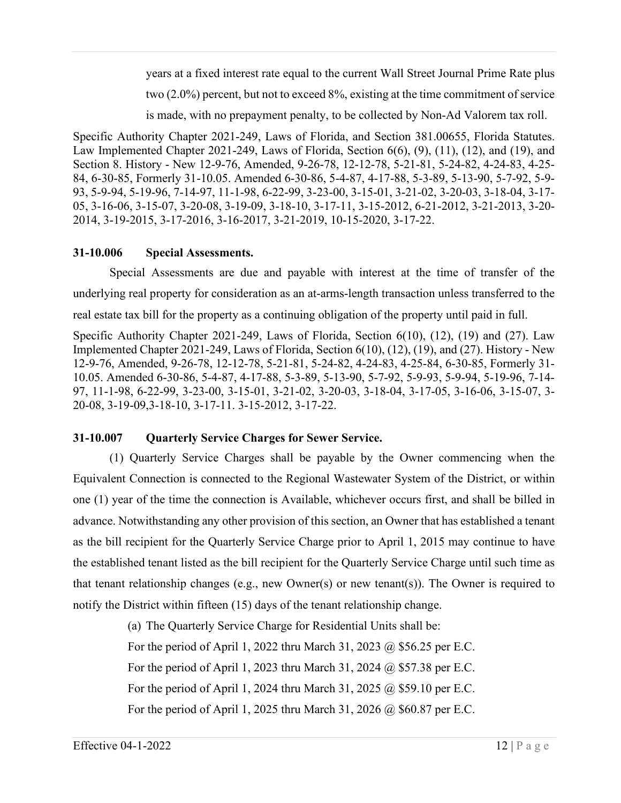years at a fixed interest rate equal to the current Wall Street Journal Prime Rate plus two (2.0%) percent, but not to exceed 8%, existing at the time commitment of service is made, with no prepayment penalty, to be collected by Non-Ad Valorem tax roll.

Specific Authority Chapter 2021-249, Laws of Florida, and Section 381.00655, Florida Statutes. Law Implemented Chapter 2021-249, Laws of Florida, Section 6(6), (9), (11), (12), and (19), and Section 8. History - New 12-9-76, Amended, 9-26-78, 12-12-78, 5-21-81, 5-24-82, 4-24-83, 4-25- 84, 6-30-85, Formerly 31-10.05. Amended 6-30-86, 5-4-87, 4-17-88, 5-3-89, 5-13-90, 5-7-92, 5-9- 93, 5-9-94, 5-19-96, 7-14-97, 11-1-98, 6-22-99, 3-23-00, 3-15-01, 3-21-02, 3-20-03, 3-18-04, 3-17- 05, 3-16-06, 3-15-07, 3-20-08, 3-19-09, 3-18-10, 3-17-11, 3-15-2012, 6-21-2012, 3-21-2013, 3-20- 2014, 3-19-2015, 3-17-2016, 3-16-2017, 3-21-2019, 10-15-2020, 3-17-22.

# **31-10.006 Special Assessments.**

Special Assessments are due and payable with interest at the time of transfer of the underlying real property for consideration as an at-arms-length transaction unless transferred to the real estate tax bill for the property as a continuing obligation of the property until paid in full.

Specific Authority Chapter 2021-249, Laws of Florida, Section 6(10), (12), (19) and (27). Law Implemented Chapter 2021-249, Laws of Florida, Section 6(10), (12), (19), and (27). History - New 12-9-76, Amended, 9-26-78, 12-12-78, 5-21-81, 5-24-82, 4-24-83, 4-25-84, 6-30-85, Formerly 31- 10.05. Amended 6-30-86, 5-4-87, 4-17-88, 5-3-89, 5-13-90, 5-7-92, 5-9-93, 5-9-94, 5-19-96, 7-14- 97, 11-1-98, 6-22-99, 3-23-00, 3-15-01, 3-21-02, 3-20-03, 3-18-04, 3-17-05, 3-16-06, 3-15-07, 3- 20-08, 3-19-09,3-18-10, 3-17-11. 3-15-2012, 3-17-22.

# **31-10.007 Quarterly Service Charges for Sewer Service.**

(1) Quarterly Service Charges shall be payable by the Owner commencing when the Equivalent Connection is connected to the Regional Wastewater System of the District, or within one (1) year of the time the connection is Available, whichever occurs first, and shall be billed in advance. Notwithstanding any other provision of this section, an Owner that has established a tenant as the bill recipient for the Quarterly Service Charge prior to April 1, 2015 may continue to have the established tenant listed as the bill recipient for the Quarterly Service Charge until such time as that tenant relationship changes (e.g., new Owner(s) or new tenant(s)). The Owner is required to notify the District within fifteen (15) days of the tenant relationship change.

(a) The Quarterly Service Charge for Residential Units shall be:

For the period of April 1, 2022 thru March 31, 2023 @ \$56.25 per E.C.

For the period of April 1, 2023 thru March 31, 2024 @ \$57.38 per E.C.

For the period of April 1, 2024 thru March 31, 2025 @ \$59.10 per E.C.

For the period of April 1, 2025 thru March 31, 2026 @ \$60.87 per E.C.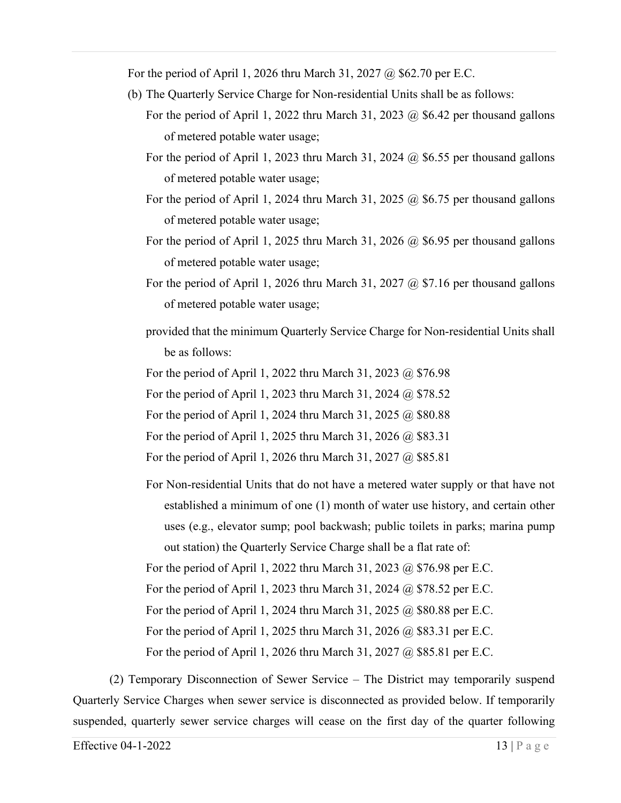For the period of April 1, 2026 thru March 31, 2027 @ \$62.70 per E.C.

- (b) The Quarterly Service Charge for Non-residential Units shall be as follows:
	- For the period of April 1, 2022 thru March 31, 2023  $\omega$  \$6.42 per thousand gallons of metered potable water usage;
	- For the period of April 1, 2023 thru March 31, 2024  $@$  \$6.55 per thousand gallons of metered potable water usage;
	- For the period of April 1, 2024 thru March 31, 2025  $\omega$  \$6.75 per thousand gallons of metered potable water usage;
	- For the period of April 1, 2025 thru March 31, 2026  $\omega$  \$6.95 per thousand gallons of metered potable water usage;
	- For the period of April 1, 2026 thru March 31, 2027 @ \$7.16 per thousand gallons of metered potable water usage;
	- provided that the minimum Quarterly Service Charge for Non-residential Units shall be as follows:

For the period of April 1, 2022 thru March 31, 2023 @ \$76.98

For the period of April 1, 2023 thru March 31, 2024 @ \$78.52

For the period of April 1, 2024 thru March 31, 2025 @ \$80.88

For the period of April 1, 2025 thru March 31, 2026 @ \$83.31

For the period of April 1, 2026 thru March 31, 2027 @ \$85.81

For Non-residential Units that do not have a metered water supply or that have not established a minimum of one (1) month of water use history, and certain other uses (e.g., elevator sump; pool backwash; public toilets in parks; marina pump out station) the Quarterly Service Charge shall be a flat rate of:

For the period of April 1, 2022 thru March 31, 2023 @ \$76.98 per E.C.

For the period of April 1, 2023 thru March 31, 2024 @ \$78.52 per E.C.

For the period of April 1, 2024 thru March 31, 2025 @ \$80.88 per E.C.

For the period of April 1, 2025 thru March 31, 2026 @ \$83.31 per E.C.

For the period of April 1, 2026 thru March 31, 2027 @ \$85.81 per E.C.

(2) Temporary Disconnection of Sewer Service – The District may temporarily suspend Quarterly Service Charges when sewer service is disconnected as provided below. If temporarily suspended, quarterly sewer service charges will cease on the first day of the quarter following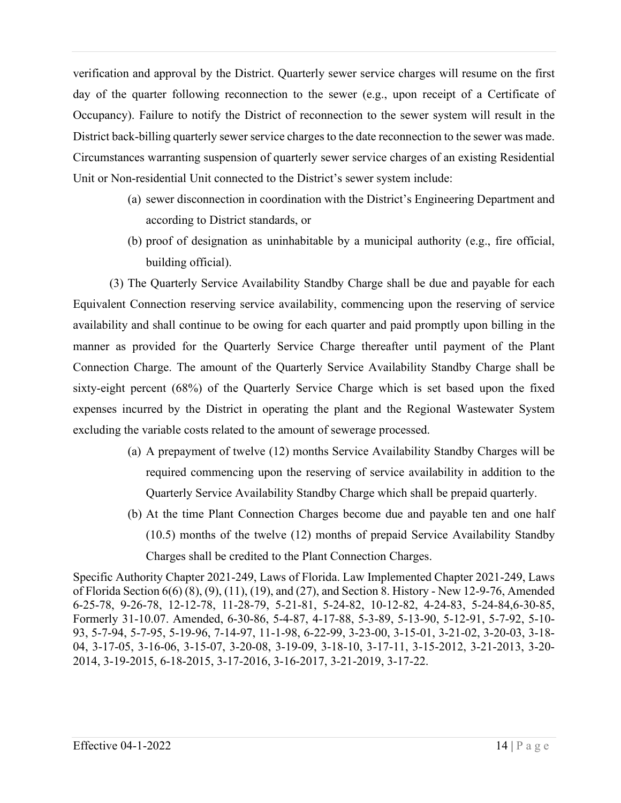verification and approval by the District. Quarterly sewer service charges will resume on the first day of the quarter following reconnection to the sewer (e.g., upon receipt of a Certificate of Occupancy). Failure to notify the District of reconnection to the sewer system will result in the District back-billing quarterly sewer service charges to the date reconnection to the sewer was made. Circumstances warranting suspension of quarterly sewer service charges of an existing Residential Unit or Non-residential Unit connected to the District's sewer system include:

- (a) sewer disconnection in coordination with the District's Engineering Department and according to District standards, or
- (b) proof of designation as uninhabitable by a municipal authority (e.g., fire official, building official).

(3) The Quarterly Service Availability Standby Charge shall be due and payable for each Equivalent Connection reserving service availability, commencing upon the reserving of service availability and shall continue to be owing for each quarter and paid promptly upon billing in the manner as provided for the Quarterly Service Charge thereafter until payment of the Plant Connection Charge. The amount of the Quarterly Service Availability Standby Charge shall be sixty-eight percent (68%) of the Quarterly Service Charge which is set based upon the fixed expenses incurred by the District in operating the plant and the Regional Wastewater System excluding the variable costs related to the amount of sewerage processed.

- (a) A prepayment of twelve (12) months Service Availability Standby Charges will be required commencing upon the reserving of service availability in addition to the Quarterly Service Availability Standby Charge which shall be prepaid quarterly.
- (b) At the time Plant Connection Charges become due and payable ten and one half (10.5) months of the twelve (12) months of prepaid Service Availability Standby Charges shall be credited to the Plant Connection Charges.

Specific Authority Chapter 2021-249, Laws of Florida. Law Implemented Chapter 2021-249, Laws of Florida Section 6(6) (8), (9), (11), (19), and (27), and Section 8. History - New 12-9-76, Amended 6-25-78, 9-26-78, 12-12-78, 11-28-79, 5-21-81, 5-24-82, 10-12-82, 4-24-83, 5-24-84,6-30-85, Formerly 31-10.07. Amended, 6-30-86, 5-4-87, 4-17-88, 5-3-89, 5-13-90, 5-12-91, 5-7-92, 5-10- 93, 5-7-94, 5-7-95, 5-19-96, 7-14-97, 11-1-98, 6-22-99, 3-23-00, 3-15-01, 3-21-02, 3-20-03, 3-18- 04, 3-17-05, 3-16-06, 3-15-07, 3-20-08, 3-19-09, 3-18-10, 3-17-11, 3-15-2012, 3-21-2013, 3-20- 2014, 3-19-2015, 6-18-2015, 3-17-2016, 3-16-2017, 3-21-2019, 3-17-22.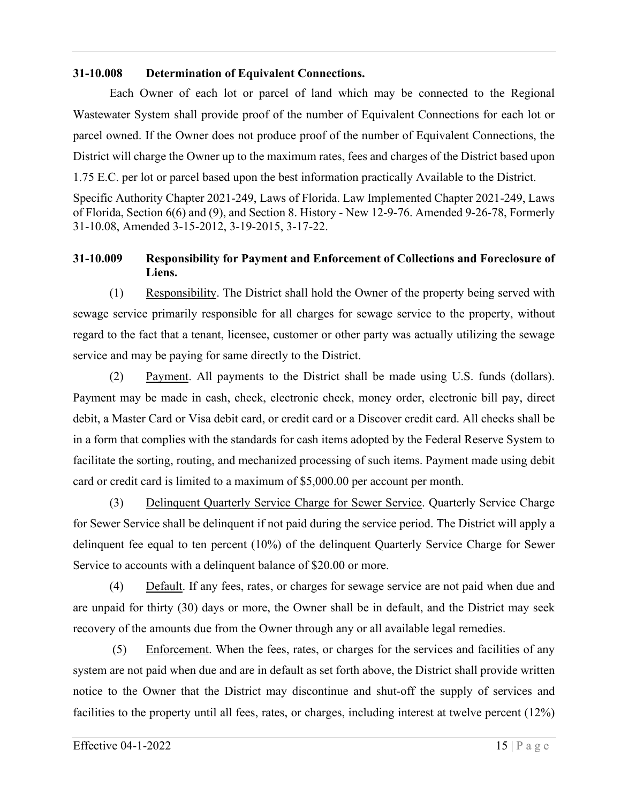#### **31-10.008 Determination of Equivalent Connections.**

Each Owner of each lot or parcel of land which may be connected to the Regional Wastewater System shall provide proof of the number of Equivalent Connections for each lot or parcel owned. If the Owner does not produce proof of the number of Equivalent Connections, the District will charge the Owner up to the maximum rates, fees and charges of the District based upon 1.75 E.C. per lot or parcel based upon the best information practically Available to the District.

Specific Authority Chapter 2021-249, Laws of Florida. Law Implemented Chapter 2021-249, Laws of Florida, Section 6(6) and (9), and Section 8. History - New 12-9-76. Amended 9-26-78, Formerly 31-10.08, Amended 3-15-2012, 3-19-2015, 3-17-22.

## **31-10.009 Responsibility for Payment and Enforcement of Collections and Foreclosure of Liens.**

(1) Responsibility. The District shall hold the Owner of the property being served with sewage service primarily responsible for all charges for sewage service to the property, without regard to the fact that a tenant, licensee, customer or other party was actually utilizing the sewage service and may be paying for same directly to the District.

(2) Payment. All payments to the District shall be made using U.S. funds (dollars). Payment may be made in cash, check, electronic check, money order, electronic bill pay, direct debit, a Master Card or Visa debit card, or credit card or a Discover credit card. All checks shall be in a form that complies with the standards for cash items adopted by the Federal Reserve System to facilitate the sorting, routing, and mechanized processing of such items. Payment made using debit card or credit card is limited to a maximum of \$5,000.00 per account per month.

(3) Delinquent Quarterly Service Charge for Sewer Service. Quarterly Service Charge for Sewer Service shall be delinquent if not paid during the service period. The District will apply a delinquent fee equal to ten percent (10%) of the delinquent Quarterly Service Charge for Sewer Service to accounts with a delinquent balance of \$20.00 or more.

(4) Default. If any fees, rates, or charges for sewage service are not paid when due and are unpaid for thirty (30) days or more, the Owner shall be in default, and the District may seek recovery of the amounts due from the Owner through any or all available legal remedies.

(5) Enforcement. When the fees, rates, or charges for the services and facilities of any system are not paid when due and are in default as set forth above, the District shall provide written notice to the Owner that the District may discontinue and shut-off the supply of services and facilities to the property until all fees, rates, or charges, including interest at twelve percent (12%)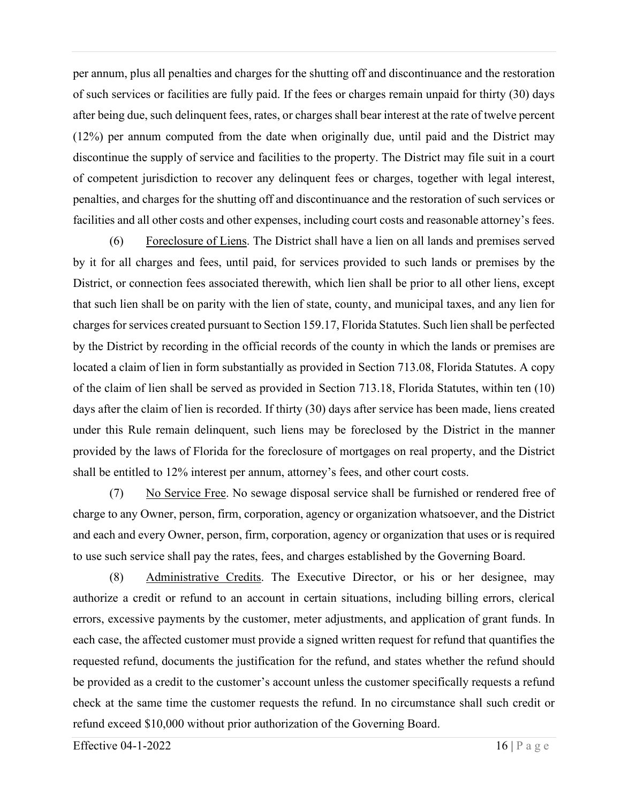per annum, plus all penalties and charges for the shutting off and discontinuance and the restoration of such services or facilities are fully paid. If the fees or charges remain unpaid for thirty (30) days after being due, such delinquent fees, rates, or charges shall bear interest at the rate of twelve percent (12%) per annum computed from the date when originally due, until paid and the District may discontinue the supply of service and facilities to the property. The District may file suit in a court of competent jurisdiction to recover any delinquent fees or charges, together with legal interest, penalties, and charges for the shutting off and discontinuance and the restoration of such services or facilities and all other costs and other expenses, including court costs and reasonable attorney's fees.

(6) Foreclosure of Liens. The District shall have a lien on all lands and premises served by it for all charges and fees, until paid, for services provided to such lands or premises by the District, or connection fees associated therewith, which lien shall be prior to all other liens, except that such lien shall be on parity with the lien of state, county, and municipal taxes, and any lien for charges for services created pursuant to Section 159.17, Florida Statutes. Such lien shall be perfected by the District by recording in the official records of the county in which the lands or premises are located a claim of lien in form substantially as provided in Section 713.08, Florida Statutes. A copy of the claim of lien shall be served as provided in Section 713.18, Florida Statutes, within ten (10) days after the claim of lien is recorded. If thirty (30) days after service has been made, liens created under this Rule remain delinquent, such liens may be foreclosed by the District in the manner provided by the laws of Florida for the foreclosure of mortgages on real property, and the District shall be entitled to 12% interest per annum, attorney's fees, and other court costs.

(7) No Service Free. No sewage disposal service shall be furnished or rendered free of charge to any Owner, person, firm, corporation, agency or organization whatsoever, and the District and each and every Owner, person, firm, corporation, agency or organization that uses or is required to use such service shall pay the rates, fees, and charges established by the Governing Board.

(8) Administrative Credits. The Executive Director, or his or her designee, may authorize a credit or refund to an account in certain situations, including billing errors, clerical errors, excessive payments by the customer, meter adjustments, and application of grant funds. In each case, the affected customer must provide a signed written request for refund that quantifies the requested refund, documents the justification for the refund, and states whether the refund should be provided as a credit to the customer's account unless the customer specifically requests a refund check at the same time the customer requests the refund. In no circumstance shall such credit or refund exceed \$10,000 without prior authorization of the Governing Board.

Effective 04-1-2022  $\frac{16}{P}$  a g e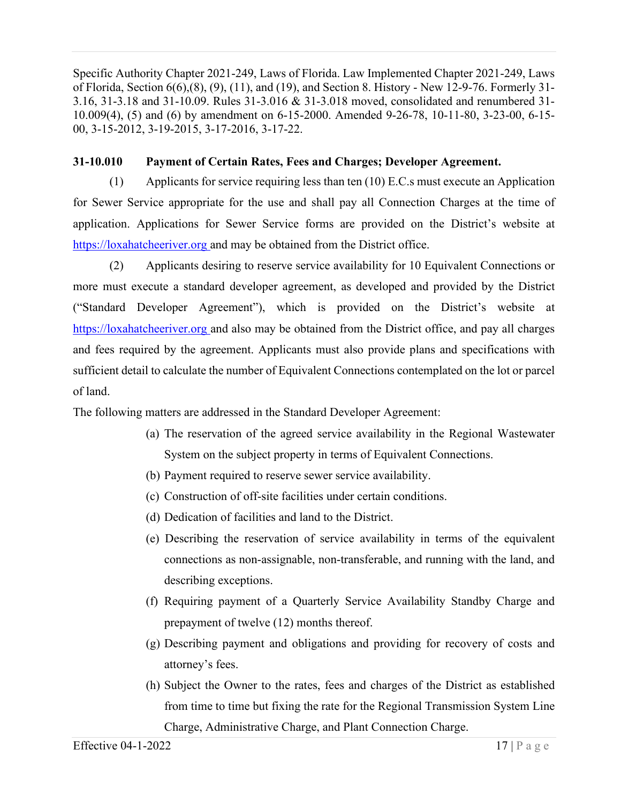Specific Authority Chapter 2021-249, Laws of Florida. Law Implemented Chapter 2021-249, Laws of Florida, Section 6(6),(8), (9), (11), and (19), and Section 8. History - New 12-9-76. Formerly 31- 3.16, 31-3.18 and 31-10.09. Rules 31-3.016 & 31-3.018 moved, consolidated and renumbered 31- 10.009(4), (5) and (6) by amendment on 6-15-2000. Amended 9-26-78, 10-11-80, 3-23-00, 6-15- 00, 3-15-2012, 3-19-2015, 3-17-2016, 3-17-22.

## **31-10.010 Payment of Certain Rates, Fees and Charges; Developer Agreement.**

(1) Applicants for service requiring less than ten (10) E.C.s must execute an Application for Sewer Service appropriate for the use and shall pay all Connection Charges at the time of application. Applications for Sewer Service forms are provided on the District's website at https://loxahatcheeriver.org and may be obtained from the District office.

(2) Applicants desiring to reserve service availability for 10 Equivalent Connections or more must execute a standard developer agreement, as developed and provided by the District ("Standard Developer Agreement"), which is provided on the District's website at https://loxahatcheeriver.org and also may be obtained from the District office, and pay all charges and fees required by the agreement. Applicants must also provide plans and specifications with sufficient detail to calculate the number of Equivalent Connections contemplated on the lot or parcel of land.

The following matters are addressed in the Standard Developer Agreement:

- (a) The reservation of the agreed service availability in the Regional Wastewater System on the subject property in terms of Equivalent Connections.
- (b) Payment required to reserve sewer service availability.
- (c) Construction of off-site facilities under certain conditions.
- (d) Dedication of facilities and land to the District.
- (e) Describing the reservation of service availability in terms of the equivalent connections as non-assignable, non-transferable, and running with the land, and describing exceptions.
- (f) Requiring payment of a Quarterly Service Availability Standby Charge and prepayment of twelve (12) months thereof.
- (g) Describing payment and obligations and providing for recovery of costs and attorney's fees.
- (h) Subject the Owner to the rates, fees and charges of the District as established from time to time but fixing the rate for the Regional Transmission System Line Charge, Administrative Charge, and Plant Connection Charge.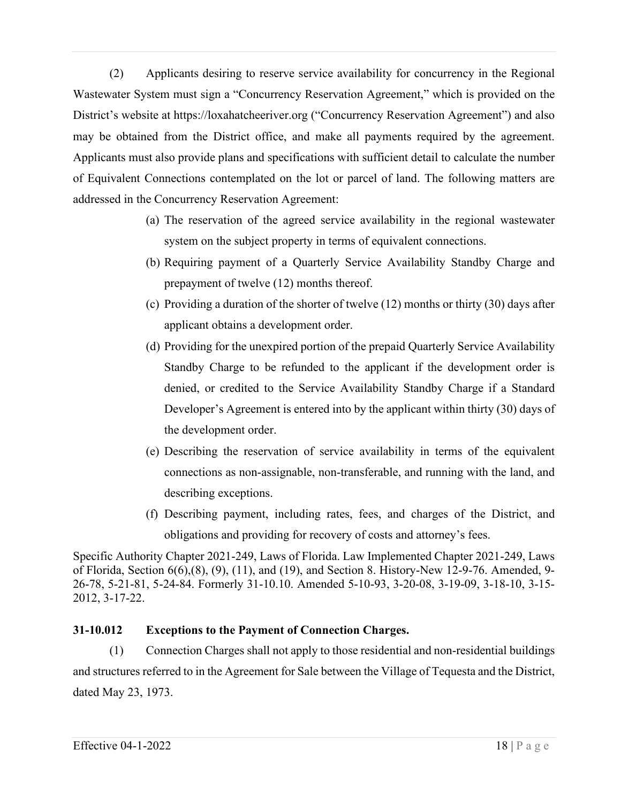(2) Applicants desiring to reserve service availability for concurrency in the Regional Wastewater System must sign a "Concurrency Reservation Agreement," which is provided on the District's website at https://loxahatcheeriver.org ("Concurrency Reservation Agreement") and also may be obtained from the District office, and make all payments required by the agreement. Applicants must also provide plans and specifications with sufficient detail to calculate the number of Equivalent Connections contemplated on the lot or parcel of land. The following matters are addressed in the Concurrency Reservation Agreement:

- (a) The reservation of the agreed service availability in the regional wastewater system on the subject property in terms of equivalent connections.
- (b) Requiring payment of a Quarterly Service Availability Standby Charge and prepayment of twelve (12) months thereof.
- (c) Providing a duration of the shorter of twelve (12) months or thirty (30) days after applicant obtains a development order.
- (d) Providing for the unexpired portion of the prepaid Quarterly Service Availability Standby Charge to be refunded to the applicant if the development order is denied, or credited to the Service Availability Standby Charge if a Standard Developer's Agreement is entered into by the applicant within thirty (30) days of the development order.
- (e) Describing the reservation of service availability in terms of the equivalent connections as non-assignable, non-transferable, and running with the land, and describing exceptions.
- (f) Describing payment, including rates, fees, and charges of the District, and obligations and providing for recovery of costs and attorney's fees.

Specific Authority Chapter 2021-249, Laws of Florida. Law Implemented Chapter 2021-249, Laws of Florida, Section 6(6),(8), (9), (11), and (19), and Section 8. History-New 12-9-76. Amended, 9- 26-78, 5-21-81, 5-24-84. Formerly 31-10.10. Amended 5-10-93, 3-20-08, 3-19-09, 3-18-10, 3-15- 2012, 3-17-22.

# **31-10.012 Exceptions to the Payment of Connection Charges.**

(1) Connection Charges shall not apply to those residential and non-residential buildings and structures referred to in the Agreement for Sale between the Village of Tequesta and the District, dated May 23, 1973.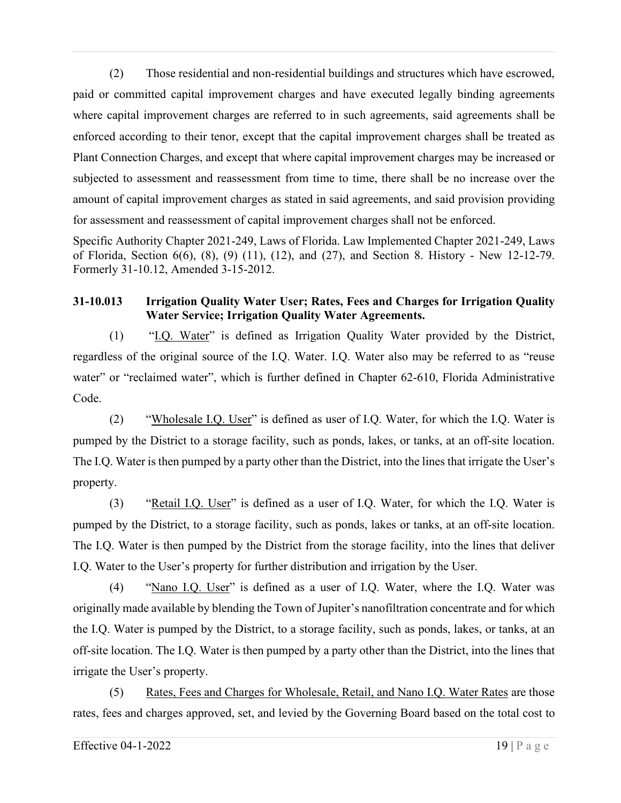(2) Those residential and non-residential buildings and structures which have escrowed, paid or committed capital improvement charges and have executed legally binding agreements where capital improvement charges are referred to in such agreements, said agreements shall be enforced according to their tenor, except that the capital improvement charges shall be treated as Plant Connection Charges, and except that where capital improvement charges may be increased or subjected to assessment and reassessment from time to time, there shall be no increase over the amount of capital improvement charges as stated in said agreements, and said provision providing for assessment and reassessment of capital improvement charges shall not be enforced.

Specific Authority Chapter 2021-249, Laws of Florida. Law Implemented Chapter 2021-249, Laws of Florida, Section 6(6), (8), (9) (11), (12), and (27), and Section 8. History - New 12-12-79. Formerly 31-10.12, Amended 3-15-2012.

# **31-10.013 Irrigation Quality Water User; Rates, Fees and Charges for Irrigation Quality Water Service; Irrigation Quality Water Agreements.**

(1) "I.Q. Water" is defined as Irrigation Quality Water provided by the District, regardless of the original source of the I.Q. Water. I.Q. Water also may be referred to as "reuse water" or "reclaimed water", which is further defined in Chapter 62-610, Florida Administrative Code.

(2) "Wholesale I.Q. User" is defined as user of I.Q. Water, for which the I.Q. Water is pumped by the District to a storage facility, such as ponds, lakes, or tanks, at an off-site location. The I.Q. Water is then pumped by a party other than the District, into the lines that irrigate the User's property.

(3) "Retail I.Q. User" is defined as a user of I.Q. Water, for which the I.Q. Water is pumped by the District, to a storage facility, such as ponds, lakes or tanks, at an off-site location. The I.Q. Water is then pumped by the District from the storage facility, into the lines that deliver I.Q. Water to the User's property for further distribution and irrigation by the User.

(4) "Nano I.Q. User" is defined as a user of I.Q. Water, where the I.Q. Water was originally made available by blending the Town of Jupiter's nanofiltration concentrate and for which the I.Q. Water is pumped by the District, to a storage facility, such as ponds, lakes, or tanks, at an off-site location. The I.Q. Water is then pumped by a party other than the District, into the lines that irrigate the User's property.

(5) Rates, Fees and Charges for Wholesale, Retail, and Nano I.Q. Water Rates are those rates, fees and charges approved, set, and levied by the Governing Board based on the total cost to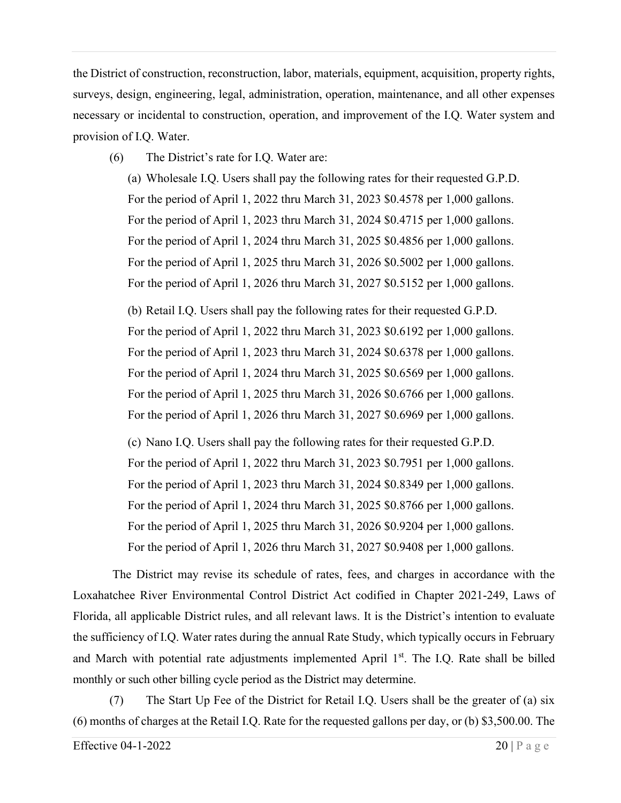the District of construction, reconstruction, labor, materials, equipment, acquisition, property rights, surveys, design, engineering, legal, administration, operation, maintenance, and all other expenses necessary or incidental to construction, operation, and improvement of the I.Q. Water system and provision of I.Q. Water.

(6) The District's rate for I.Q. Water are:

(a) Wholesale I.Q. Users shall pay the following rates for their requested G.P.D. For the period of April 1, 2022 thru March 31, 2023 \$0.4578 per 1,000 gallons. For the period of April 1, 2023 thru March 31, 2024 \$0.4715 per 1,000 gallons. For the period of April 1, 2024 thru March 31, 2025 \$0.4856 per 1,000 gallons. For the period of April 1, 2025 thru March 31, 2026 \$0.5002 per 1,000 gallons. For the period of April 1, 2026 thru March 31, 2027 \$0.5152 per 1,000 gallons.

(b) Retail I.Q. Users shall pay the following rates for their requested G.P.D. For the period of April 1, 2022 thru March 31, 2023 \$0.6192 per 1,000 gallons. For the period of April 1, 2023 thru March 31, 2024 \$0.6378 per 1,000 gallons. For the period of April 1, 2024 thru March 31, 2025 \$0.6569 per 1,000 gallons. For the period of April 1, 2025 thru March 31, 2026 \$0.6766 per 1,000 gallons. For the period of April 1, 2026 thru March 31, 2027 \$0.6969 per 1,000 gallons.

(c) Nano I.Q. Users shall pay the following rates for their requested G.P.D. For the period of April 1, 2022 thru March 31, 2023 \$0.7951 per 1,000 gallons. For the period of April 1, 2023 thru March 31, 2024 \$0.8349 per 1,000 gallons. For the period of April 1, 2024 thru March 31, 2025 \$0.8766 per 1,000 gallons. For the period of April 1, 2025 thru March 31, 2026 \$0.9204 per 1,000 gallons. For the period of April 1, 2026 thru March 31, 2027 \$0.9408 per 1,000 gallons.

The District may revise its schedule of rates, fees, and charges in accordance with the Loxahatchee River Environmental Control District Act codified in Chapter 2021-249, Laws of Florida, all applicable District rules, and all relevant laws. It is the District's intention to evaluate the sufficiency of I.Q. Water rates during the annual Rate Study, which typically occurs in February and March with potential rate adjustments implemented April  $1<sup>st</sup>$ . The I.Q. Rate shall be billed monthly or such other billing cycle period as the District may determine.

(7) The Start Up Fee of the District for Retail I.Q. Users shall be the greater of (a) six (6) months of charges at the Retail I.Q. Rate for the requested gallons per day, or (b) \$3,500.00. The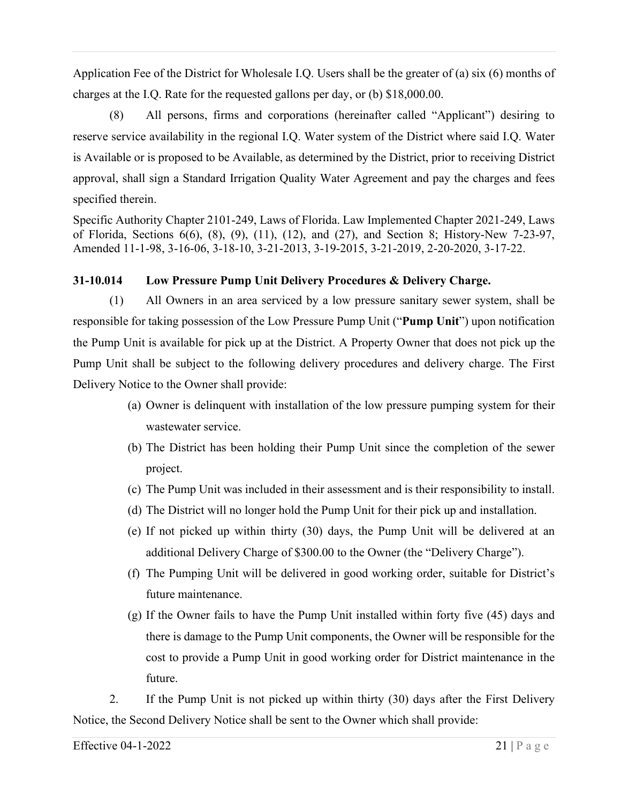Application Fee of the District for Wholesale I.Q. Users shall be the greater of (a) six (6) months of charges at the I.Q. Rate for the requested gallons per day, or (b) \$18,000.00.

(8) All persons, firms and corporations (hereinafter called "Applicant") desiring to reserve service availability in the regional I.Q. Water system of the District where said I.Q. Water is Available or is proposed to be Available, as determined by the District, prior to receiving District approval, shall sign a Standard Irrigation Quality Water Agreement and pay the charges and fees specified therein.

Specific Authority Chapter 2101-249, Laws of Florida. Law Implemented Chapter 2021-249, Laws of Florida, Sections 6(6), (8), (9), (11), (12), and (27), and Section 8; History-New 7-23-97, Amended 11-1-98, 3-16-06, 3-18-10, 3-21-2013, 3-19-2015, 3-21-2019, 2-20-2020, 3-17-22.

# **31-10.014 Low Pressure Pump Unit Delivery Procedures & Delivery Charge.**

(1) All Owners in an area serviced by a low pressure sanitary sewer system, shall be responsible for taking possession of the Low Pressure Pump Unit ("**Pump Unit**") upon notification the Pump Unit is available for pick up at the District. A Property Owner that does not pick up the Pump Unit shall be subject to the following delivery procedures and delivery charge. The First Delivery Notice to the Owner shall provide:

- (a) Owner is delinquent with installation of the low pressure pumping system for their wastewater service.
- (b) The District has been holding their Pump Unit since the completion of the sewer project.
- (c) The Pump Unit was included in their assessment and is their responsibility to install.
- (d) The District will no longer hold the Pump Unit for their pick up and installation.
- (e) If not picked up within thirty (30) days, the Pump Unit will be delivered at an additional Delivery Charge of \$300.00 to the Owner (the "Delivery Charge").
- (f) The Pumping Unit will be delivered in good working order, suitable for District's future maintenance.
- (g) If the Owner fails to have the Pump Unit installed within forty five (45) days and there is damage to the Pump Unit components, the Owner will be responsible for the cost to provide a Pump Unit in good working order for District maintenance in the future.

2. If the Pump Unit is not picked up within thirty (30) days after the First Delivery Notice, the Second Delivery Notice shall be sent to the Owner which shall provide: